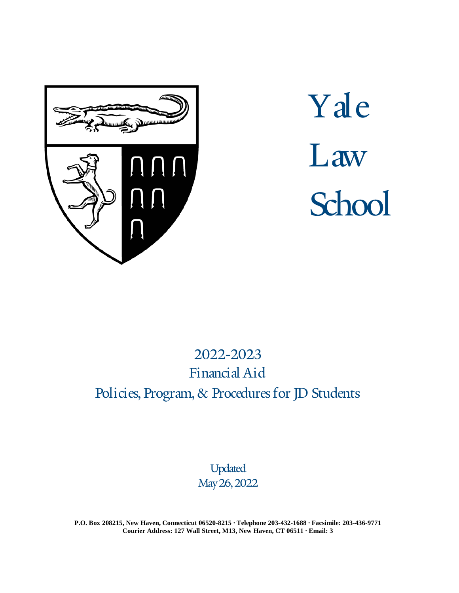

# Yale Law **School**

# 2022-2023 Financial Aid Policies, Program, & Procedures for JD Students

Updated May 26,2022

**P.O. Box 208215, New Haven, Connecticut 06520-8215 ∙ Telephone 203-432-1688 ∙ Facsimile: 203-436-9771 Courier Address: 127 Wall Street, M13, New Haven, CT 06511 ∙ Email: [3](mailto:financialaid.law@yale.edu)**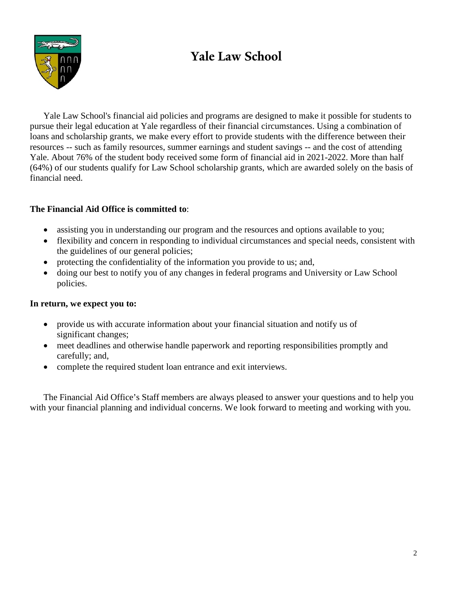# **Yale Law School**



Yale Law School's financial aid policies and programs are designed to make it possible for students to pursue their legal education at Yale regardless of their financial circumstances. Using a combination of loans and scholarship grants, we make every effort to provide students with the difference between their resources -- such as family resources, summer earnings and student savings -- and the cost of attending Yale. About 76% of the student body received some form of financial aid in 2021-2022. More than half (64%) of our students qualify for Law School scholarship grants, which are awarded solely on the basis of financial need.

#### **The Financial Aid Office is committed to**:

- assisting you in understanding our program and the resources and options available to you;
- flexibility and concern in responding to individual circumstances and special needs, consistent with the guidelines of our general policies;
- protecting the confidentiality of the information you provide to us; and,
- doing our best to notify you of any changes in federal programs and University or Law School policies.

#### **In return, we expect you to:**

- provide us with accurate information about your financial situation and notify us of significant changes;
- meet deadlines and otherwise handle paperwork and reporting responsibilities promptly and carefully; and,
- complete the required student loan entrance and exit interviews.

The Financial Aid Office's Staff members are always pleased to answer your questions and to help you with your financial planning and individual concerns. We look forward to meeting and working with you.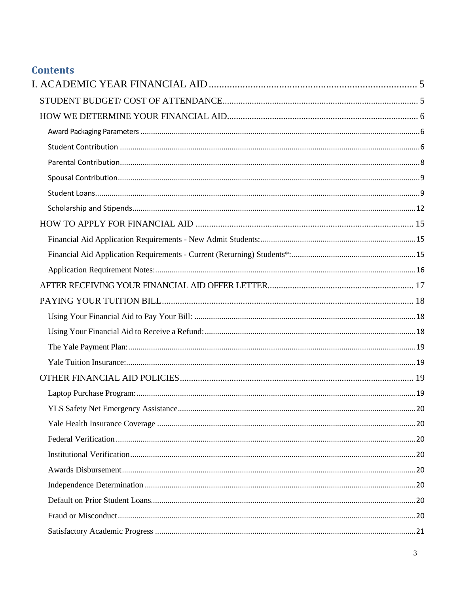## **Contents**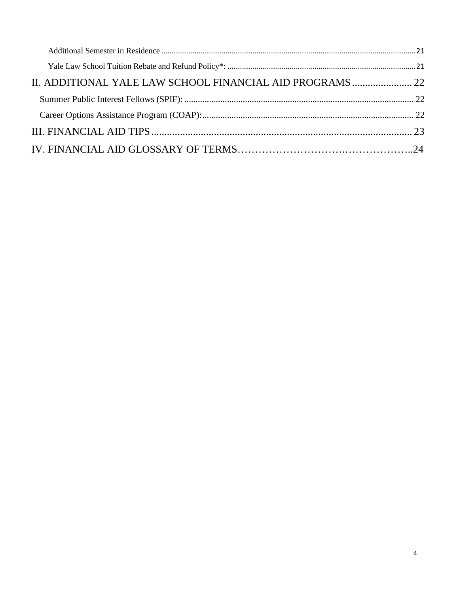| II. ADDITIONAL YALE LAW SCHOOL FINANCIAL AID PROGRAMS  22 |  |
|-----------------------------------------------------------|--|
|                                                           |  |
|                                                           |  |
|                                                           |  |
|                                                           |  |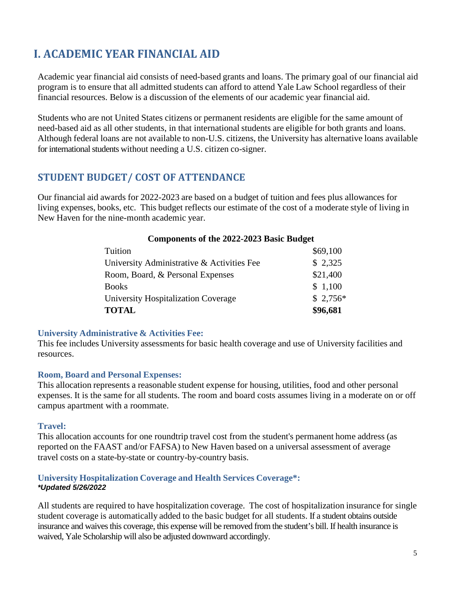# <span id="page-4-0"></span>**I. ACADEMIC YEAR FINANCIAL AID**

Academic year financial aid consists of need-based grants and loans. The primary goal of our financial aid program is to ensure that all admitted students can afford to attend Yale Law School regardless of their financial resources. Below is a discussion of the elements of our academic year financial aid.

Students who are not United States citizens or permanent residents are eligible for the same amount of need-based aid as all other students, in that international students are eligible for both grants and loans. Although federal loans are not available to non-U.S. citizens, the University has alternative loans available for international students without needing a U.S. citizen co-signer.

## <span id="page-4-1"></span>**[STUDENT BUDGET/ COST OF ATTENDANCE](http://www.law.yale.edu/admissions/finaid_budget.htm)**

Our financial aid awards for 2022-2023 are based on a budget of tuition and fees plus allowances for living expenses, books, etc. This budget reflects our estimate of the cost of a moderate style of living in New Haven for the nine-month academic year.

#### **Components of the 2022-2023 Basic Budget**

| <b>TOTAL</b>                               | \$96,681  |
|--------------------------------------------|-----------|
| University Hospitalization Coverage        | $$2,756*$ |
| <b>Books</b>                               | \$1,100   |
| Room, Board, & Personal Expenses           | \$21,400  |
| University Administrative & Activities Fee | \$2,325   |
| Tuition                                    | \$69,100  |

#### **University Administrative & Activities Fee:**

This fee includes University assessments for basic health coverage and use of University facilities and resources.

#### **Room, Board and Personal Expenses:**

This allocation represents a reasonable student expense for housing, utilities, food and other personal expenses. It is the same for all students. The room and board costs assumes living in a moderate on or off campus apartment with a roommate.

#### **Travel:**

This allocation accounts for one roundtrip travel cost from the student's permanent home address (as reported on the FAAST and/or FAFSA) to New Haven based on a universal assessment of average travel costs on a state-by-state or country-by-country basis.

#### **University Hospitalization Coverage and Health Services Coverage\*:** *\*Updated 5/26/2022*

All students are required to have hospitalization coverage. The cost of hospitalization insurance for single student coverage is automatically added to the basic budget for all students. If a student obtains outside insurance and waives this coverage, this expense will be removed from the student's bill. If health insurance is waived, Yale Scholarship will also be adjusted downward accordingly.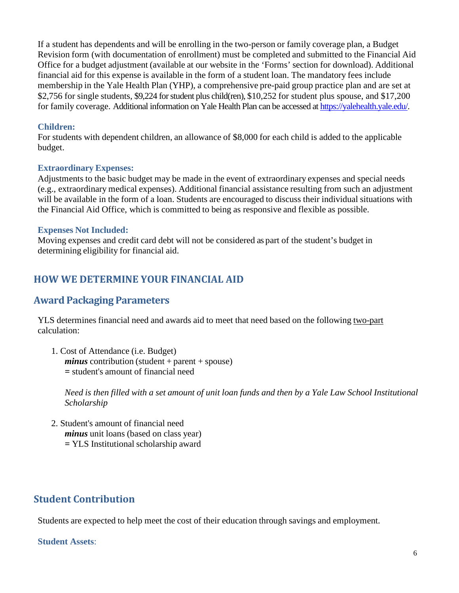If a student has dependents and will be enrolling in the two-person or family coverage plan, a Budget Revision form (with documentation of enrollment) must be completed and submitted to the Financial Aid Office for a budget adjustment (available at our website in the 'Forms' section for download). Additional financial aid for this expense is available in the form of a student loan. The mandatory fees include membership in the Yale Health Plan (YHP), a comprehensive pre-paid group practice plan and are set at \$2,756 for single students, \$9,224 for student plus child(ren), \$10,252 for student plus spouse, and \$17,200 for family coverage. Additional information on Yale Health Plan can be accessed a[t https://yalehealth.yale.edu/.](https://yalehealth.yale.edu/)

#### **Children:**

For students with dependent children, an allowance of \$8,000 for each child is added to the applicable budget.

#### **Extraordinary Expenses:**

Adjustments to the basic budget may be made in the event of extraordinary expenses and special needs (e.g., extraordinary medical expenses). Additional financial assistance resulting from such an adjustment will be available in the form of a loan. Students are encouraged to discuss their individual situations with the Financial Aid Office, which is committed to being as responsive and flexible as possible.

#### **Expenses Not Included:**

Moving expenses and credit card debt will not be considered as part of the student's budget in determining eligibility for financial aid.

# <span id="page-5-0"></span>**[HOW WE DETERMINE YOUR FINANCIAL AID](http://www.law.yale.edu/admissions/finaid_assessment.htm)**

## <span id="page-5-1"></span>**Award Packaging Parameters**

YLS determines financial need and awards aid to meet that need based on the following two-part calculation:

1. Cost of Attendance (i.e. Budget) *minus* contribution (student + parent + spouse) *=* student's amount of financial need

Need is then filled with a set amount of unit loan funds and then by a Yale Law School Institutional *Scholarship*

2. Student's amount of financial need *minus* unit loans (based on class year) *=* YLS Institutional scholarship award

# <span id="page-5-2"></span>**Student Contribution**

Students are expected to help meet the cost of their education through savings and employment.

#### **Student Assets**: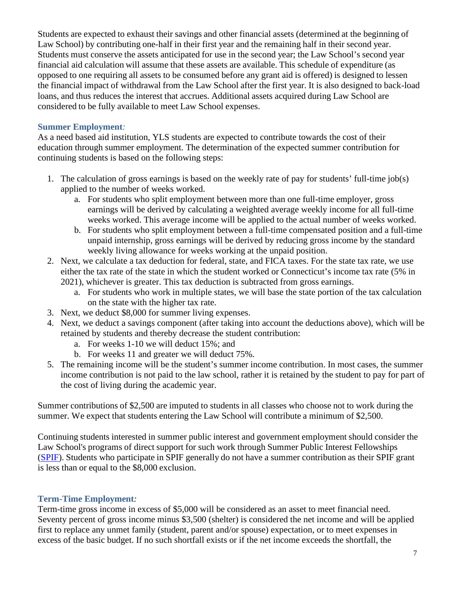Students are expected to exhaust their savings and other financial assets (determined at the beginning of Law School) by contributing one-half in their first year and the remaining half in their second year. Students must conserve the assets anticipated for use in the second year; the Law School's second year financial aid calculation will assume that these assets are available. This schedule of expenditure (as opposed to one requiring all assets to be consumed before any grant aid is offered) is designed to lessen the financial impact of withdrawal from the Law School after the first year. It is also designed to back-load loans, and thus reduces the interest that accrues. Additional assets acquired during Law School are considered to be fully available to meet Law School expenses.

#### **Summer Employment***:*

As a need based aid institution, YLS students are expected to contribute towards the cost of their education through summer employment. The determination of the expected summer contribution for continuing students is based on the following steps:

- 1. The calculation of gross earnings is based on the weekly rate of pay for students' full-time job(s) applied to the number of weeks worked.
	- a. For students who split employment between more than one full-time employer, gross earnings will be derived by calculating a weighted average weekly income for all full-time weeks worked. This average income will be applied to the actual number of weeks worked.
	- b. For students who split employment between a full-time compensated position and a full-time unpaid internship, gross earnings will be derived by reducing gross income by the standard weekly living allowance for weeks working at the unpaid position.
- 2. Next, we calculate a tax deduction for federal, state, and FICA taxes. For the state tax rate, we use either the tax rate of the state in which the student worked or Connecticut's income tax rate (5% in 2021), whichever is greater. This tax deduction is subtracted from gross earnings.
	- a. For students who work in multiple states, we will base the state portion of the tax calculation on the state with the higher tax rate.
- 3. Next, we deduct \$8,000 for summer living expenses.
- 4. Next, we deduct a savings component (after taking into account the deductions above), which will be retained by students and thereby decrease the student contribution:
	- a. For weeks 1-10 we will deduct 15%; and
	- b. For weeks 11 and greater we will deduct 75%.
- 5. The remaining income will be the student's summer income contribution. In most cases, the summer income contribution is not paid to the law school, rather it is retained by the student to pay for part of the cost of living during the academic year.

Summer contributions of \$2,500 are imputed to students in all classes who choose not to work during the summer. We expect that students entering the Law School will contribute a minimum of \$2,500.

Continuing students interested in summer public interest and government employment should consider the Law School's programs of direct support for such work through Summer Public Interest Fellowships [\(SPIF\)](http://www.law.yale.edu/admissions/finaid_summerfellowship.htm). Students who participate in SPIF generally do not have a summer contribution as their SPIF grant is less than or equal to the \$8,000 exclusion.

#### **Term-Time Employment***:*

Term-time gross income in excess of \$5,000 will be considered as an asset to meet financial need. Seventy percent of gross income minus \$3,500 (shelter) is considered the net income and will be applied first to replace any unmet family (student, parent and/or spouse) expectation, or to meet expenses in excess of the basic budget. If no such shortfall exists or if the net income exceeds the shortfall, the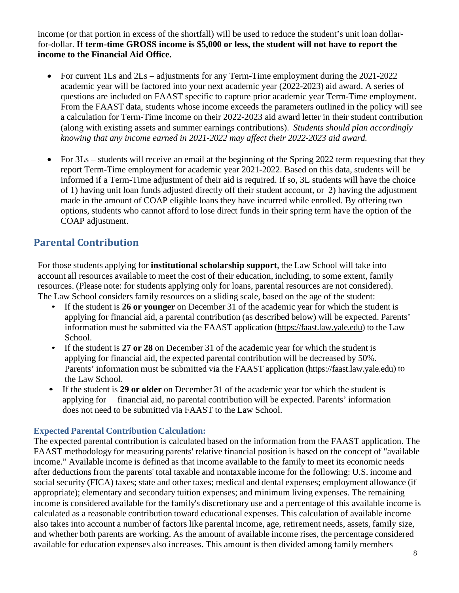income (or that portion in excess of the shortfall) will be used to reduce the student's unit loan dollarfor-dollar. **If term-time GROSS income is \$5,000 or less, the student will not have to report the income to the Financial Aid Office.**

- For current 1Ls and 2Ls adjustments for any Term-Time employment during the 2021-2022 academic year will be factored into your next academic year (2022-2023) aid award. A series of questions are included on FAAST specific to capture prior academic year Term-Time employment. From the FAAST data, students whose income exceeds the parameters outlined in the policy will see a calculation for Term-Time income on their 2022-2023 aid award letter in their student contribution (along with existing assets and summer earnings contributions). *Students should plan accordingly knowing that any income earned in 2021-2022 may affect their 2022-2023 aid award.*
- For 3Ls students will receive an email at the beginning of the Spring 2022 term requesting that they report Term-Time employment for academic year 2021-2022. Based on this data, students will be informed if a Term-Time adjustment of their aid is required. If so, 3L students will have the choice of 1) having unit loan funds adjusted directly off their student account, or 2) having the adjustment made in the amount of COAP eligible loans they have incurred while enrolled. By offering two options, students who cannot afford to lose direct funds in their spring term have the option of the COAP adjustment.

## <span id="page-7-0"></span>**Parental Contribution**

For those students applying for **institutional scholarship support**, the Law School will take into account all resources available to meet the cost of their education, including, to some extent, family resources. (Please note: for students applying only for loans, parental resources are not considered). The Law School considers family resources on a sliding scale, based on the age of the student:

- If the student is **26 or younger** on December 31 of the academic year for which the student is applying for financial aid, a parental contribution (as described below) will be expected. Parents' information must be submitted via the FAAST application [\(https://faast.law.yale.edu\)](https://faast.law.yale.edu/) to the Law School.
- If the student is **27 or 28** on December 31 of the academic year for which the student is applying for financial aid, the expected parental contribution will be decreased by 50%. Parents' information must be submitted via the FAAST application [\(https://faast.law.yale.edu\)](https://faast.law.yale.edu/) to the Law School.
- If the student is **29 or older** on December 31 of the academic year for which the student is applying for financial aid, no parental contribution will be expected. Parents' information does not need to be submitted via FAAST to the Law School.

#### **Expected Parental Contribution Calculation:**

The expected parental contribution is calculated based on the information from the FAAST application. The FAAST methodology for measuring parents' relative financial position is based on the concept of "available income." Available income is defined as that income available to the family to meet its economic needs after deductions from the parents' total taxable and nontaxable income for the following: U.S. income and social security (FICA) taxes; state and other taxes; medical and dental expenses; employment allowance (if appropriate); elementary and secondary tuition expenses; and minimum living expenses. The remaining income is considered available for the family's discretionary use and a percentage of this available income is calculated as a reasonable contribution toward educational expenses. This calculation of available income also takes into account a number of factors like parental income, age, retirement needs, assets, family size, and whether both parents are working. As the amount of available income rises, the percentage considered available for education expenses also increases. This amount is then divided among family members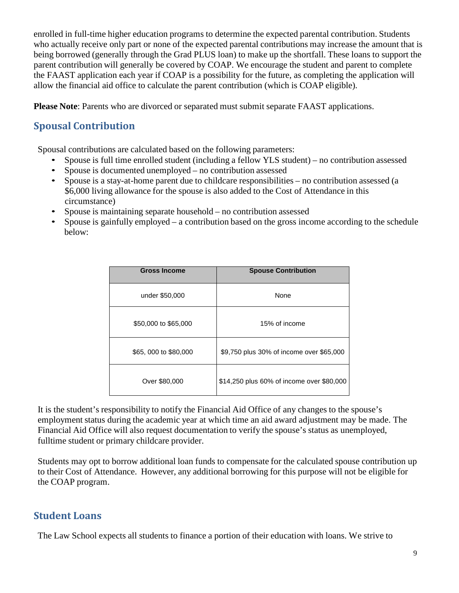enrolled in full-time higher education programs to determine the expected parental contribution. Students who actually receive only part or none of the expected parental contributions may increase the amount that is being borrowed (generally through the Grad PLUS loan) to make up the shortfall. These loans to support the parent contribution will generally be covered by COAP. We encourage the student and parent to complete the FAAST application each year if COAP is a possibility for the future, as completing the application will allow the financial aid office to calculate the parent contribution (which is COAP eligible).

**Please Note**: Parents who are divorced or separated must submit separate FAAST applications.

## <span id="page-8-0"></span>**Spousal Contribution**

Spousal contributions are calculated based on the following parameters:

- Spouse is full time enrolled student (including a fellow YLS student) no contribution assessed
- Spouse is documented unemployed no contribution assessed
- Spouse is a stay-at-home parent due to childcare responsibilities no contribution assessed (a \$6,000 living allowance for the spouse is also added to the Cost of Attendance in this circumstance)
- Spouse is maintaining separate household no contribution assessed
- Spouse is gainfully employed a contribution based on the gross income according to the schedule below:

| <b>Gross Income</b>  | <b>Spouse Contribution</b>                |
|----------------------|-------------------------------------------|
| under \$50,000       | None                                      |
| \$50,000 to \$65,000 | 15% of income                             |
| \$65,000 to \$80,000 | \$9,750 plus 30% of income over \$65,000  |
| Over \$80,000        | \$14,250 plus 60% of income over \$80,000 |

It is the student's responsibility to notify the Financial Aid Office of any changes to the spouse's employment status during the academic year at which time an aid award adjustment may be made. The Financial Aid Office will also request documentation to verify the spouse's status as unemployed, fulltime student or primary childcare provider.

Students may opt to borrow additional loan funds to compensate for the calculated spouse contribution up to their Cost of Attendance. However, any additional borrowing for this purpose will not be eligible for the COAP program.

# <span id="page-8-1"></span>**Student Loans**

The Law School expects all students to finance a portion of their education with loans. We strive to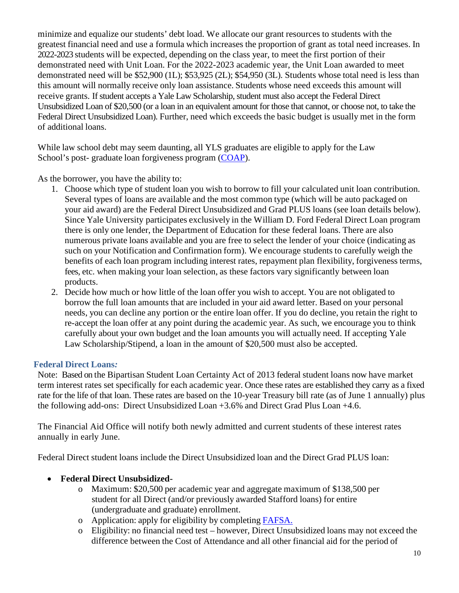minimize and equalize our students' debt load. We allocate our grant resources to students with the greatest financial need and use a formula which increases the proportion of grant as total need increases. In 2022-2023 students will be expected, depending on the class year, to meet the first portion of their demonstrated need with Unit Loan. For the 2022-2023 academic year, the Unit Loan awarded to meet demonstrated need will be \$52,900 (1L); \$53,925 (2L); \$54,950 (3L). Students whose total need is less than this amount will normally receive only loan assistance. Students whose need exceeds this amount will receive grants. If student accepts a Yale Law Scholarship, student must also accept the Federal Direct Unsubsidized Loan of \$20,500 (or a loan in an equivalent amount for those that cannot, or choose not, to take the Federal Direct Unsubsidized Loan). Further, need which exceeds the basic budget is usually met in the form of additional loans.

While law school debt may seem daunting, all YLS graduates are eligible to apply for the Law School's post- graduate loan forgiveness program [\(COAP\)](https://www.law.yale.edu/admissions/cost-financial-aid/post-graduate-loan-repayment).

As the borrower, you have the ability to:

- 1. Choose which type of student loan you wish to borrow to fill your calculated unit loan contribution. Several types of loans are available and the most common type (which will be auto packaged on your aid award) are the Federal Direct Unsubsidized and Grad PLUS loans (see loan details below). Since Yale University participates exclusively in the William D. Ford Federal Direct Loan program there is only one lender, the Department of Education for these federal loans. There are also numerous private loans available and you are free to select the lender of your choice (indicating as such on your Notification and Confirmation form). We encourage students to carefully weigh the benefits of each loan program including interest rates, repayment plan flexibility, forgiveness terms, fees, etc. when making your loan selection, as these factors vary significantly between loan products.
- 2. Decide how much or how little of the loan offer you wish to accept. You are not obligated to borrow the full loan amounts that are included in your aid award letter. Based on your personal needs, you can decline any portion or the entire loan offer. If you do decline, you retain the right to re-accept the loan offer at any point during the academic year. As such, we encourage you to think carefully about your own budget and the loan amounts you will actually need. If accepting Yale Law Scholarship/Stipend, a loan in the amount of \$20,500 must also be accepted.

#### **Federal Direct Loans***:*

Note: Based on the Bipartisan Student Loan Certainty Act of 2013 federal student loans now have market term interest rates set specifically for each academic year. Once these rates are established they carry as a fixed rate for the life of that loan. These rates are based on the 10-year Treasury bill rate (as of June 1 annually) plus the following add-ons: Direct Unsubsidized Loan +3.6% and Direct Grad Plus Loan +4.6.

The Financial Aid Office will notify both newly admitted and current students of these interest rates annually in early June.

Federal Direct student loans include the Direct Unsubsidized loan and the Direct Grad PLUS loan:

- **Federal Direct Unsubsidized**
	- o Maximum: \$20,500 per academic year and aggregate maximum of \$138,500 per student for all Direct (and/or previously awarded Stafford loans) for entire (undergraduate and graduate) enrollment.
	- o Application: apply for eligibility by completing [FAFSA.](https://studentaid.gov/)
	- o Eligibility: no financial need test however, Direct Unsubsidized loans may not exceed the difference between the Cost of Attendance and all other financial aid for the period of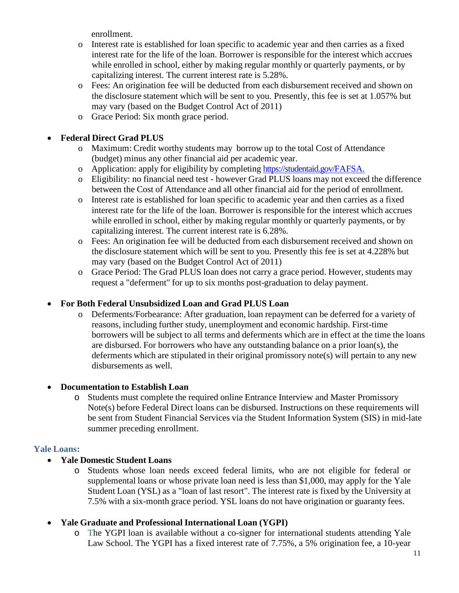enrollment.

- o Interest rate is established for loan specific to academic year and then carries as a fixed interest rate for the life of the loan. Borrower is responsible for the interest which accrues while enrolled in school, either by making regular monthly or quarterly payments, or by capitalizing interest. The current interest rate is 5.28%.
- o Fees: An origination fee will be deducted from each disbursement received and shown on the disclosure statement which will be sent to you. Presently, this fee is set at 1.057% but may vary (based on the Budget Control Act of 2011)
- o Grace Period: Six month grace period.

#### • **Federal Direct Grad PLUS**

- o Maximum: Credit worthy students may borrow up to the total Cost of Attendance (budget) minus any other financial aid per academic year.
- o Application: apply for eligibility by completing [https://studentaid.gov/F](https://studentaid.gov/)AFSA.
- o Eligibility: no financial need test however Grad PLUS loans may not exceed the difference between the Cost of Attendance and all other financial aid for the period of enrollment.
- o Interest rate is established for loan specific to academic year and then carries as a fixed interest rate for the life of the loan. Borrower is responsible for the interest which accrues while enrolled in school, either by making regular monthly or quarterly payments, or by capitalizing interest. The current interest rate is 6.28%.
- o Fees: An origination fee will be deducted from each disbursement received and shown on the disclosure statement which will be sent to you. Presently this fee is set at 4.228% but may vary (based on the Budget Control Act of 2011)
- o Grace Period: The Grad PLUS loan does not carry a grace period. However, students may request a "deferment" for up to six months post-graduation to delay payment.

#### • **For Both Federal Unsubsidized Loan and Grad PLUS Loan**

o Deferments/Forbearance: After graduation, loan repayment can be deferred for a variety of reasons, including further study, unemployment and economic hardship. First-time borrowers will be subject to all terms and deferments which are in effect at the time the loans are disbursed. For borrowers who have any outstanding balance on a prior loan(s), the deferments which are stipulated in their original promissory note(s) will pertain to any new disbursements as well.

#### • **Documentation to Establish Loan**

o Students must complete the required online Entrance Interview and Master Promissory Note(s) before Federal Direct loans can be disbursed. Instructions on these requirements will be sent from Student Financial Services via the Student Information System (SIS) in mid-late summer preceding enrollment.

#### **Yale Loans:**

#### • **Yale Domestic Student Loans**

o Students whose loan needs exceed federal limits, who are not eligible for federal or supplemental loans or whose private loan need is less than \$1,000, may apply for the Yale Student Loan (YSL) as a "loan of last resort". The interest rate is fixed by the University at 7.5% with a six-month grace period. YSL loans do not have origination or guaranty fees.

#### • **Yale Graduate and Professional International Loan (YGPI)**

o The YGPI loan is available without a co-signer for international students attending Yale Law School. The YGPI has a fixed interest rate of 7.75%, a 5% origination fee, a 10-year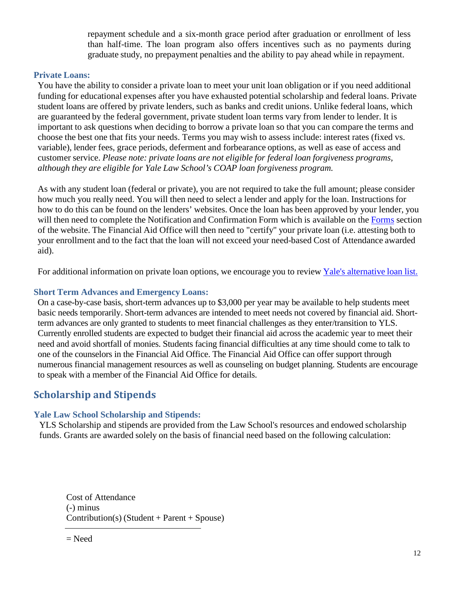repayment schedule and a six-month grace period after graduation or enrollment of less than half-time. The loan program also offers incentives such as no payments during graduate study, no prepayment penalties and the ability to pay ahead while in repayment.

#### **Private Loans:**

You have the ability to consider a private loan to meet your unit loan obligation or if you need additional funding for educational expenses after you have exhausted potential scholarship and federal loans. Private student loans are offered by private lenders, such as banks and credit unions. Unlike federal loans, which are guaranteed by the federal government, private student loan terms vary from lender to lender. It is important to ask questions when deciding to borrow a private loan so that you can compare the terms and choose the best one that fits your needs. Terms you may wish to assess include: interest rates (fixed vs. variable), lender fees, grace periods, deferment and forbearance options, as well as ease of access and customer service. *Please note: private loans are not eligible for federal loan forgiveness programs, although they are eligible for Yale Law School's COAP loan forgiveness program.*

As with any student loan (federal or private), you are not required to take the full amount; please consider how much you really need. You will then need to select a lender and apply for the loan. Instructions for how to do this can be found on the lenders' websites. Once the loan has been approved by your lender, you will then need to complete the Notification and Confirmation Form which is available on the [Forms](https://www.law.yale.edu/admissions/cost-financial-aid/financial-aid-forms-resources) section of the website. The Financial Aid Office will then need to "certify" your private loan (i.e. attesting both to your enrollment and to the fact that the loan will not exceed your need-based Cost of Attendance awarded aid).

For additional information on private loan options, we encourage you to review Yale's [alternative](https://www.elmselect.com/oll/SchoolLenderList/?schoolId=8550) loan list.

#### **Short Term Advances and Emergency Loans:**

On a case-by-case basis, short-term advances up to \$3,000 per year may be available to help students meet basic needs temporarily. Short-term advances are intended to meet needs not covered by financial aid. Shortterm advances are only granted to students to meet financial challenges as they enter/transition to YLS. Currently enrolled students are expected to budget their financial aid across the academic year to meet their need and avoid shortfall of monies. Students facing financial difficulties at any time should come to talk to one of the counselors in the Financial Aid Office. The Financial Aid Office can offer support through numerous financial management resources as well as counseling on budget planning. Students are encourage to speak with a member of the Financial Aid Office for details.

# <span id="page-11-0"></span>**Scholarship and Stipends**

#### **Yale Law School Scholarship and Stipends:**

YLS Scholarship and stipends are provided from the Law School's resources and endowed scholarship funds. Grants are awarded solely on the basis of financial need based on the following calculation:

Cost of Attendance (-) minus Contribution(s) (Student + Parent + Spouse)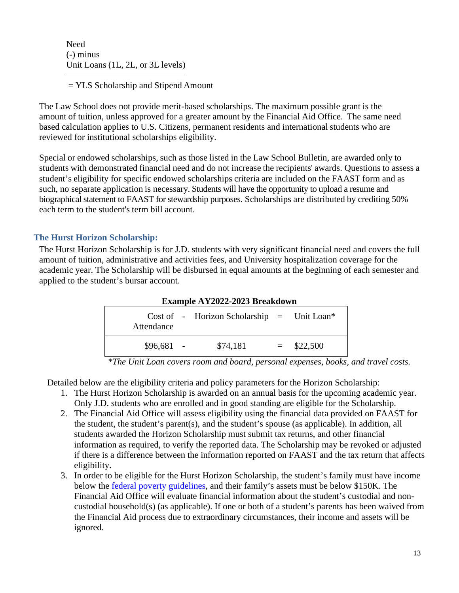Need (-) minus Unit Loans (1L, 2L, or 3L levels)

= YLS Scholarship and Stipend Amount

The Law School does not provide merit-based scholarships. The maximum possible grant is the amount of tuition, unless approved for a greater amount by the Financial Aid Office. The same need based calculation applies to U.S. Citizens, permanent residents and international students who are reviewed for institutional scholarships eligibility.

Special or endowed scholarships, such as those listed in the Law School Bulletin, are awarded only to students with demonstrated financial need and do not increase the recipients' awards. Questions to assess a student's eligibility for specific endowed scholarships criteria are included on the FAAST form and as such, no separate application is necessary. Students will have the opportunity to upload a resume and biographical statement to FAAST for stewardship purposes. Scholarships are distributed by crediting 50% each term to the student's term bill account.

#### **The Hurst Horizon Scholarship:**

The Hurst Horizon Scholarship is for J.D. students with very significant financial need and covers the full amount of tuition, administrative and activities fees, and University hospitalization coverage for the academic year. The Scholarship will be disbursed in equal amounts at the beginning of each semester and applied to the student's bursar account.

| Example AY2022-2023 Breakdown |  |                                            |  |              |
|-------------------------------|--|--------------------------------------------|--|--------------|
| Attendance                    |  | Cost of - Horizon Scholarship = Unit Loan* |  |              |
| $$96,681 -$                   |  | \$74,181                                   |  | $=$ \$22,500 |

*\*The Unit Loan covers room and board, personal expenses, books, and travel costs.*

Detailed below are the eligibility criteria and policy parameters for the Horizon Scholarship:

- 1. The Hurst Horizon Scholarship is awarded on an annual basis for the upcoming academic year. Only J.D. students who are enrolled and in good standing are eligible for the Scholarship.
- 2. The Financial Aid Office will assess eligibility using the financial data provided on FAAST for the student, the student's parent(s), and the student's spouse (as applicable). In addition, all students awarded the Horizon Scholarship must submit tax returns, and other financial information as required, to verify the reported data. The Scholarship may be revoked or adjusted if there is a difference between the information reported on FAAST and the tax return that affects eligibility.
- 3. In order to be eligible for the Hurst Horizon Scholarship, the student's family must have income below the [federal poverty guidelines](https://aspe.hhs.gov/topics/poverty-economic-mobility/poverty-guidelines), and their family's assets must be below \$150K. The Financial Aid Office will evaluate financial information about the student's custodial and noncustodial household(s) (as applicable). If one or both of a student's parents has been waived from the Financial Aid process due to extraordinary circumstances, their income and assets will be ignored.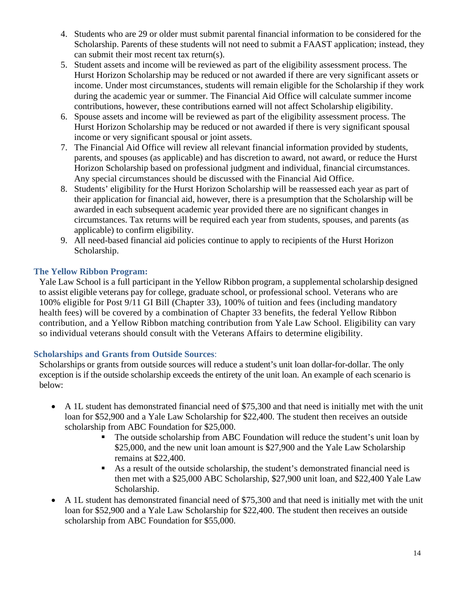- 4. Students who are 29 or older must submit parental financial information to be considered for the Scholarship. Parents of these students will not need to submit a FAAST application; instead, they can submit their most recent tax return(s).
- 5. Student assets and income will be reviewed as part of the eligibility assessment process. The Hurst Horizon Scholarship may be reduced or not awarded if there are very significant assets or income. Under most circumstances, students will remain eligible for the Scholarship if they work during the academic year or summer. The Financial Aid Office will calculate summer income contributions, however, these contributions earned will not affect Scholarship eligibility.
- 6. Spouse assets and income will be reviewed as part of the eligibility assessment process. The Hurst Horizon Scholarship may be reduced or not awarded if there is very significant spousal income or very significant spousal or joint assets.
- 7. The Financial Aid Office will review all relevant financial information provided by students, parents, and spouses (as applicable) and has discretion to award, not award, or reduce the Hurst Horizon Scholarship based on professional judgment and individual, financial circumstances. Any special circumstances should be discussed with the Financial Aid Office.
- 8. Students' eligibility for the Hurst Horizon Scholarship will be reassessed each year as part of their application for financial aid, however, there is a presumption that the Scholarship will be awarded in each subsequent academic year provided there are no significant changes in circumstances. Tax returns will be required each year from students, spouses, and parents (as applicable) to confirm eligibility.
- 9. All need-based financial aid policies continue to apply to recipients of the Hurst Horizon Scholarship.

#### **The Yellow Ribbon Program:**

Yale Law School is a full participant in the Yellow Ribbon program, a supplemental scholarship designed to assist eligible veterans pay for college, graduate school, or professional school. Veterans who are 100% eligible for Post 9/11 GI Bill (Chapter 33), 100% of tuition and fees (including mandatory health fees) will be covered by a combination of Chapter 33 benefits, the federal Yellow Ribbon contribution, and a Yellow Ribbon matching contribution from Yale Law School. Eligibility can vary so individual veterans should consult with the Veterans Affairs to determine eligibility.

#### **Scholarships and Grants from Outside Sources**:

Scholarships or grants from outside sources will reduce a student's unit loan dollar-for-dollar. The only exception is if the outside scholarship exceeds the entirety of the unit loan. An example of each scenario is below:

- A 1L student has demonstrated financial need of \$75,300 and that need is initially met with the unit loan for \$52,900 and a Yale Law Scholarship for \$22,400. The student then receives an outside scholarship from ABC Foundation for \$25,000.
	- The outside scholarship from ABC Foundation will reduce the student's unit loan by \$25,000, and the new unit loan amount is \$27,900 and the Yale Law Scholarship remains at \$22,400.
	- As a result of the outside scholarship, the student's demonstrated financial need is then met with a \$25,000 ABC Scholarship, \$27,900 unit loan, and \$22,400 Yale Law Scholarship.
- A 1L student has demonstrated financial need of \$75,300 and that need is initially met with the unit loan for \$52,900 and a Yale Law Scholarship for \$22,400. The student then receives an outside scholarship from ABC Foundation for \$55,000.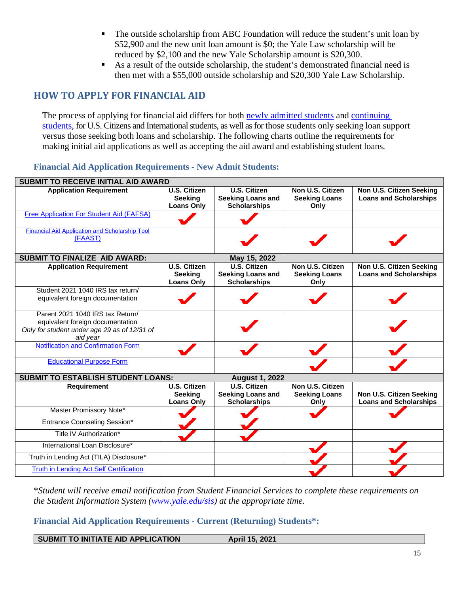- The outside scholarship from ABC Foundation will reduce the student's unit loan by \$52,900 and the new unit loan amount is \$0; the Yale Law scholarship will be reduced by \$2,100 and the new Yale Scholarship amount is \$20,300.
- As a result of the outside scholarship, the student's demonstrated financial need is then met with a \$55,000 outside scholarship and \$20,300 Yale Law Scholarship.

# <span id="page-14-0"></span>**HOW TO APPLY FOR FINANCIAL AID**

The process of applying for financial aid differs for both [newly admitted students](https://law.yale.edu/admissions/cost-financial-aid/applying-financial-aid/new-students) and continuing [students,](https://law.yale.edu/admissions/cost-financial-aid/applying-financial-aid/current-students) for U.S. Citizens and International students, as well as for those students only seeking loan support versus those seeking both loans and scholarship. The following charts outline the requirements for making initial aid applications as well as accepting the aid award and establishing student loans.

#### <span id="page-14-1"></span>**Financial Aid Application Requirements - [New Admit Students:](http://www.law.yale.edu/admissions/finaid_admits.htm)**

| <b>SUBMIT TO RECEIVE INITIAL AID AWARD</b>                       |                                                            |                                                                        |                                                  |                                                           |
|------------------------------------------------------------------|------------------------------------------------------------|------------------------------------------------------------------------|--------------------------------------------------|-----------------------------------------------------------|
| <b>Application Requirement</b>                                   | <b>U.S. Citizen</b><br>Seeking<br><b>Loans Only</b>        | <b>U.S. Citizen</b><br><b>Seeking Loans and</b><br><b>Scholarships</b> | Non U.S. Citizen<br><b>Seeking Loans</b><br>Only | Non U.S. Citizen Seeking<br><b>Loans and Scholarships</b> |
| Free Application For Student Aid (FAFSA)                         |                                                            |                                                                        |                                                  |                                                           |
| <b>Financial Aid Application and Scholarship Tool</b><br>(FAAST) |                                                            |                                                                        |                                                  |                                                           |
| <b>SUBMIT TO FINALIZE AID AWARD:</b>                             |                                                            | May 15, 2022                                                           |                                                  |                                                           |
| <b>Application Requirement</b>                                   | <b>U.S. Citizen</b><br><b>Seeking</b><br><b>Loans Only</b> | <b>U.S. Citizen</b><br><b>Seeking Loans and</b><br><b>Scholarships</b> | Non U.S. Citizen<br><b>Seeking Loans</b><br>Only | Non U.S. Citizen Seeking<br><b>Loans and Scholarships</b> |
| Student 2021 1040 IRS tax return/                                |                                                            |                                                                        |                                                  |                                                           |
| equivalent foreign documentation                                 |                                                            |                                                                        |                                                  |                                                           |
| Parent 2021 1040 IRS tax Return/                                 |                                                            |                                                                        |                                                  |                                                           |
| equivalent foreign documentation                                 |                                                            |                                                                        |                                                  |                                                           |
| Only for student under age 29 as of 12/31 of<br>aid year         |                                                            |                                                                        |                                                  |                                                           |
| Notification and Confirmation Form                               |                                                            |                                                                        |                                                  |                                                           |
| <b>Educational Purpose Form</b>                                  |                                                            |                                                                        |                                                  |                                                           |
| <b>SUBMIT TO ESTABLISH STUDENT LOANS:</b>                        |                                                            | <b>August 1, 2022</b>                                                  |                                                  |                                                           |
| Requirement                                                      | <b>U.S. Citizen</b>                                        | <b>U.S. Citizen</b>                                                    | Non U.S. Citizen                                 |                                                           |
|                                                                  | <b>Seeking</b>                                             | <b>Seeking Loans and</b>                                               | <b>Seeking Loans</b>                             | Non U.S. Citizen Seeking                                  |
|                                                                  | <b>Loans Only</b>                                          | <b>Scholarships</b>                                                    | Only                                             | <b>Loans and Scholarships</b>                             |
| Master Promissory Note*                                          |                                                            |                                                                        |                                                  |                                                           |
| <b>Entrance Counseling Session*</b>                              |                                                            |                                                                        |                                                  |                                                           |
| Title IV Authorization*                                          |                                                            |                                                                        |                                                  |                                                           |
| International Loan Disclosure*                                   |                                                            |                                                                        |                                                  |                                                           |
| Truth in Lending Act (TILA) Disclosure*                          |                                                            |                                                                        |                                                  |                                                           |
| <b>Truth in Lending Act Self Certification</b>                   |                                                            |                                                                        |                                                  |                                                           |

\**Student will receive email notification from Student Financial Services to complete these requirements on the Student Information System [\(www.yale.edu/sis\)](http://www.yale.edu/sis) at the appropriate time.*

#### <span id="page-14-2"></span>**[Financial Aid Application Requirements](http://www.law.yale.edu/admissions/finaid_current.htm) - Current (Returning) Students\*:**

SUBMIT TO INITIATE AID APPLICATION **April 15, 2021**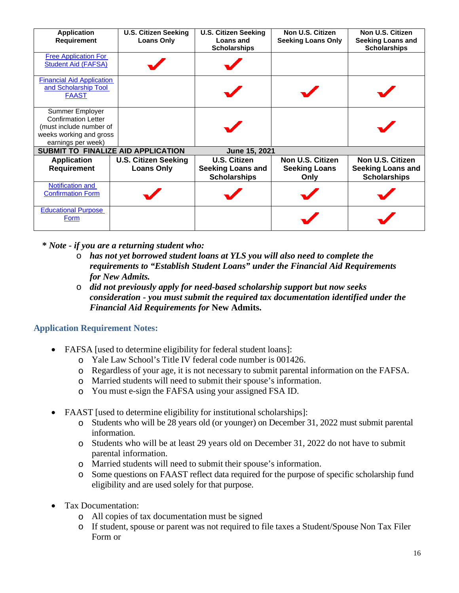| <b>Application</b>               | <b>U.S. Citizen Seeking</b>        | <b>U.S. Citizen Seeking</b>      | Non U.S. Citizen          | Non U.S. Citizen                                |
|----------------------------------|------------------------------------|----------------------------------|---------------------------|-------------------------------------------------|
| Requirement                      | <b>Loans Only</b>                  | Loans and<br><b>Scholarships</b> | <b>Seeking Loans Only</b> | <b>Seeking Loans and</b><br><b>Scholarships</b> |
| <b>Free Application For</b>      |                                    |                                  |                           |                                                 |
| <b>Student Aid (FAFSA)</b>       |                                    |                                  |                           |                                                 |
| <b>Financial Aid Application</b> |                                    |                                  |                           |                                                 |
| and Scholarship Tool             |                                    |                                  |                           |                                                 |
| <b>FAAST</b>                     |                                    |                                  |                           |                                                 |
| Summer Employer                  |                                    |                                  |                           |                                                 |
| <b>Confirmation Letter</b>       |                                    |                                  |                           |                                                 |
| (must include number of          |                                    |                                  |                           |                                                 |
| weeks working and gross          |                                    |                                  |                           |                                                 |
| earnings per week)               |                                    |                                  |                           |                                                 |
|                                  | SUBMIT TO FINALIZE AID APPLICATION | June 15, 2021                    |                           |                                                 |
| <b>Application</b>               | <b>U.S. Citizen Seeking</b>        | U.S. Citizen                     | Non U.S. Citizen          | Non U.S. Citizen                                |
| <b>Requirement</b>               | <b>Loans Only</b>                  | <b>Seeking Loans and</b>         | <b>Seeking Loans</b>      | <b>Seeking Loans and</b>                        |
|                                  |                                    | <b>Scholarships</b>              | Only                      | <b>Scholarships</b>                             |
| Notification and                 |                                    |                                  |                           |                                                 |
| <b>Confirmation Form</b>         |                                    |                                  |                           |                                                 |
| <b>Educational Purpose</b>       |                                    |                                  |                           |                                                 |
| <b>Form</b>                      |                                    |                                  |                           |                                                 |
|                                  |                                    |                                  |                           |                                                 |

**\*** *Note - if you are a returning student who:*

- o *has not yet borrowed student loans at YLS you will also need to complete the requirements to "Establish Student Loans" under the Financial Aid Requirements for New Admits.*
- o *did not previously apply for need-based scholarship support but now seeks consideration - you must submit the required tax documentation identified under the Financial Aid Requirements for* **New Admits.**

#### <span id="page-15-0"></span>**Application Requirement Notes:**

- FAFSA [used to determine eligibility for federal student loans]:
	- o Yale Law School's Title IV federal code number is 001426.
	- o Regardless of your age, it is not necessary to submit parental information on the FAFSA.
	- o Married students will need to submit their spouse's information.
	- o You must e-sign the FAFSA using your assigned FSA ID.
- FAAST [used to determine eligibility for institutional scholarships]:
	- o Students who will be 28 years old (or younger) on December 31, 2022 must submit parental information.
	- o Students who will be at least 29 years old on December 31, 2022 do not have to submit parental information.
	- o Married students will need to submit their spouse's information.
	- o Some questions on FAAST reflect data required for the purpose of specific scholarship fund eligibility and are used solely for that purpose.
- Tax Documentation:
	- o All copies of tax documentation must be signed
	- o If student, spouse or parent was not required to file taxes a Student/Spouse Non Tax Filer Form or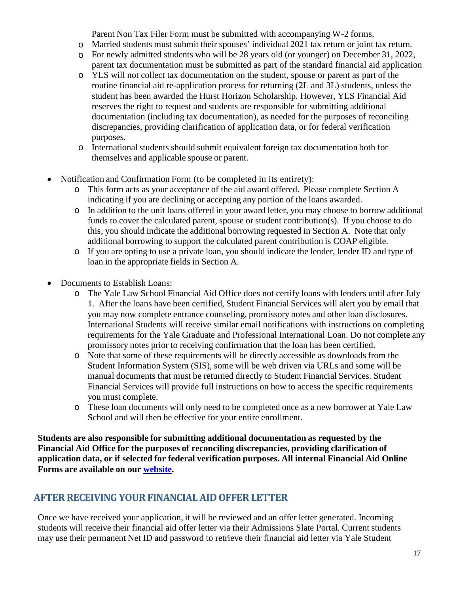Parent Non Tax Filer Form must be submitted with accompanying W-2 forms.

- o Married students must submit their spouses' individual 2021 tax return or joint tax return.
- o For newly admitted students who will be 28 years old (or younger) on December 31, 2022, parent tax documentation must be submitted as part of the standard financial aid application
- o YLS will not collect tax documentation on the student, spouse or parent as part of the routine financial aid re-application process for returning (2L and 3L) students, unless the student has been awarded the Hurst Horizon Scholarship*.* However, YLS Financial Aid reserves the right to request and students are responsible for submitting additional documentation (including tax documentation), as needed for the purposes of reconciling discrepancies, providing clarification of application data, or for federal verification purposes*.*
- o International students should submit equivalent foreign tax documentation both for themselves and applicable spouse or parent.
- Notification and Confirmation Form (to be completed in its entirety):
	- o This form acts as your acceptance of the aid award offered. Please complete Section A indicating if you are declining or accepting any portion of the loans awarded.
	- o In addition to the unit loans offered in your award letter, you may choose to borrow additional funds to cover the calculated parent, spouse or student contribution(s). If you choose to do this, you should indicate the additional borrowing requested in Section A. Note that only additional borrowing to support the calculated parent contribution is COAP eligible.
	- o If you are opting to use a private loan, you should indicate the lender, lender ID and type of loan in the appropriate fields in Section A.
- Documents to Establish Loans:
	- o The Yale Law School Financial Aid Office does not certify loans with lenders until after July 1. After the loans have been certified, Student Financial Services will alert you by email that you may now complete entrance counseling, promissory notes and other loan disclosures. International Students will receive similar email notifications with instructions on completing requirements for the Yale Graduate and Professional International Loan. Do not complete any promissory notes prior to receiving confirmation that the loan has been certified.
	- o Note that some of these requirements will be directly accessible as downloads from the Student Information System (SIS), some will be web driven via URLs and some will be manual documents that must be returned directly to Student Financial Services. Student Financial Services will provide full instructions on how to access the specific requirements you must complete.
	- o These loan documents will only need to be completed once as a new borrower at Yale Law School and will then be effective for your entire enrollment.

**Students are also responsible for submitting additional documentation as requested by the Financial Aid Office for the purposes of reconciling discrepancies, providing clarification of application data, or if selected for federal verification purposes. All internal Financial Aid Online Forms are available on our [website.](https://law.yale.edu/admissions/cost-financial-aid/financial-aid-forms-resources/outside-scholarships)**

# <span id="page-16-0"></span>**AFTER RECEIVING YOUR FINANCIAL AID OFFERLETTER**

Once we have received your application, it will be reviewed and an offer letter generated. Incoming students will receive their financial aid offer letter via their Admissions Slate Portal. Current students may use their permanent Net ID and password to retrieve their financial aid letter via Yale Student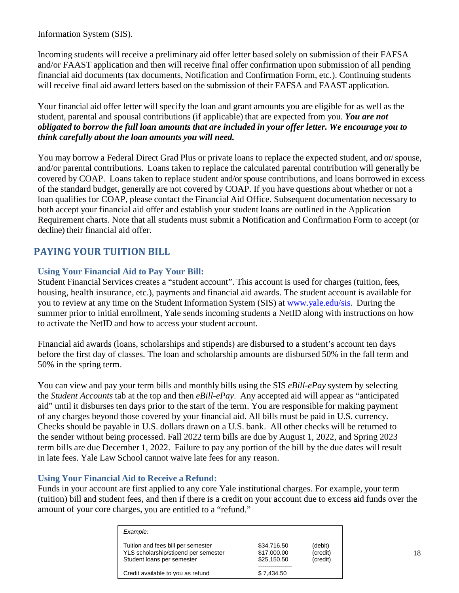Information System (SIS).

Incoming students will receive a preliminary aid offer letter based solely on submission of their FAFSA and/or FAAST application and then will receive final offer confirmation upon submission of all pending financial aid documents (tax documents, Notification and Confirmation Form, etc.). Continuing students will receive final aid award letters based on the submission of their FAFSA and FAAST application.

Your financial aid offer letter will specify the loan and grant amounts you are eligible for as well as the student, parental and spousal contributions (if applicable) that are expected from you. *You are not obligated to borrow the full loan amounts that are included in your offer letter. We encourage you to think carefully about the loan amounts you will need.*

You may borrow a Federal Direct Grad Plus or private loans to replace the expected student, and or/ spouse, and/or parental contributions. Loans taken to replace the calculated parental contribution will generally be covered by COAP. Loans taken to replace student and/or spouse contributions, and loans borrowed in excess of the standard budget, generally are not covered by COAP. If you have questions about whether or not a loan qualifies for COAP, please contact the Financial Aid Office. Subsequent documentation necessary to both accept your financial aid offer and establish your student loans are outlined in the Application Requirement charts. Note that all students must submit a Notification and Confirmation Form to accept (or decline) their financial aid offer.

## <span id="page-17-0"></span>**[PAYING YOUR TUITION BILL](http://www.law.yale.edu/admissions/finaid_payment.htm)**

#### <span id="page-17-1"></span>**Using Your Financial Aid to Pay Your Bill:**

Student Financial Services creates a "student account". This account is used for charges (tuition, fees, housing, health insurance, etc.), payments and financial aid awards. The student account is available for you to review at any time on the Student Information System (SIS) at [www.yale.edu/sis.](http://www.yale.edu/sis) During the summer prior to initial enrollment, Yale sends incoming students a NetID along with instructions on how to activate the NetID and how to access your student account.

Financial aid awards (loans, scholarships and stipends) are disbursed to a student's account ten days before the first day of classes. The loan and scholarship amounts are disbursed 50% in the fall term and 50% in the spring term.

You can view and pay your term bills and monthly bills using the SIS *eBill*-*ePay* system by selecting the *Student Accounts* tab at the top and then *eBill-ePay*. Any accepted aid will appear as "anticipated aid" until it disburses ten days prior to the start of the term. You are responsible for making payment of any charges beyond those covered by your financial aid. All bills must be paid in U.S. currency. Checks should be payable in U.S. dollars drawn on a U.S. bank. All other checks will be returned to the sender without being processed. Fall 2022 term bills are due by August 1, 2022, and Spring 2023 term bills are due December 1, 2022. Failure to pay any portion of the bill by the due dates will result in late fees. Yale Law School cannot waive late fees for any reason.

#### <span id="page-17-2"></span>**Using Your Financial Aid to Receive a Refund:**

Funds in your account are first applied to any core Yale institutional charges. For example, your term (tuition) bill and student fees, and then if there is a credit on your account due to excess aid funds over the amount of your core charges, you are entitled to a "refund."

| Example:                                                                                                 |                                           |                                 |
|----------------------------------------------------------------------------------------------------------|-------------------------------------------|---------------------------------|
| Tuition and fees bill per semester<br>YLS scholarship/stipend per semester<br>Student loans per semester | \$34,716.50<br>\$17,000.00<br>\$25,150.50 | (debit)<br>(credit)<br>(credit) |
| Credit available to you as refund                                                                        | \$7.434.50                                |                                 |
|                                                                                                          |                                           |                                 |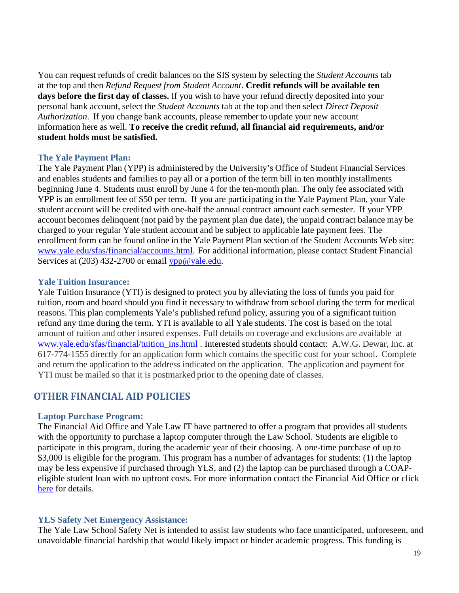You can request refunds of credit balances on the SIS system by selecting the *Student Accounts* tab at the top and then *Refund Request from Student Account*. **Credit refunds will be available ten days before the first day of classes.** If you wish to have your refund directly deposited into your personal bank account, select the *Student Accounts* tab at the top and then select *Direct Deposit Authorization*. If you change bank accounts, please remember to update your new account information here as well. **To receive the credit refund, all financial aid requirements, and/or student holds must be satisfied.**

#### <span id="page-18-0"></span>**The Yale Payment Plan:**

The Yale Payment Plan (YPP) is administered by the University's Office of Student Financial Services and enables students and families to pay all or a portion of the term bill in ten monthly installments beginning June 4. Students must enroll by June 4 for the ten-month plan. The only fee associated with YPP is an enrollment fee of \$50 per term. If you are participating in the Yale Payment Plan, your Yale student account will be credited with one-half the annual contract amount each semester. If your YPP account becomes delinquent (not paid by the payment plan due date), the unpaid contract balance may be charged to your regular Yale student account and be subject to applicable late payment fees. The enrollment form can be found online in the Yale Payment Plan section of the Student Accounts Web site: [www.yale.edu/sfas/financial/accounts.html.](http://www.yale.edu/sfas/financial/accounts.html) For additional information, please contact Student Financial Services at (203) 432-2700 or email [ypp@yale.edu.](mailto:ypp@yale.edu)

#### <span id="page-18-1"></span>**Yale Tuition Insurance:**

Yale Tuition Insurance (YTI) is designed to protect you by alleviating the loss of funds you paid for tuition, room and board should you find it necessary to withdraw from school during the term for medical reasons. This plan complements Yale's published refund policy, assuring you of a significant tuition refund any time during the term. YTI is available to all Yale students. The cost is based on the total amount of tuition and other insured expenses. Full details on coverage and exclusions are available at [www.yale.edu/sfas/financial/tuition\\_ins.html](http://www.yale.edu/sfas/financial/tuition_ins.html) . Interested students should contact: A.W.G. Dewar, Inc. at 617-774-1555 directly for an application form which contains the specific cost for your school. Complete and return the application to the address indicated on the application. The application and payment for YTI must be mailed so that it is postmarked prior to the opening date of classes.

#### <span id="page-18-2"></span>**[OTHER FINANCIAL AID POLICIES](http://www.law.yale.edu/admissions/finaid_policy.htm)**

#### <span id="page-18-3"></span>**Laptop Purchase Program:**

The Financial Aid Office and Yale Law IT have partnered to offer a program that provides all students with the opportunity to purchase a laptop computer through the Law School. Students are eligible to participate in this program, during the academic year of their choosing. A one-time purchase of up to \$3,000 is eligible for the program. This program has a number of advantages for students: (1) the laptop may be less expensive if purchased through YLS, and (2) the laptop can be purchased through a COAPeligible student loan with no upfront costs. For more information contact the Financial Aid Office or click [here](file://storage.yale.edu/home/SFS_Financial_aid-770005-YLS/Financial_Work/Laptop%20Purchase%20Program/Laptop%20Purchase%20Program.pdf) for details.

#### **YLS Safety Net Emergency Assistance:**

The Yale Law School Safety Net is intended to assist law students who face unanticipated, unforeseen, and unavoidable financial hardship that would likely impact or hinder academic progress. This funding is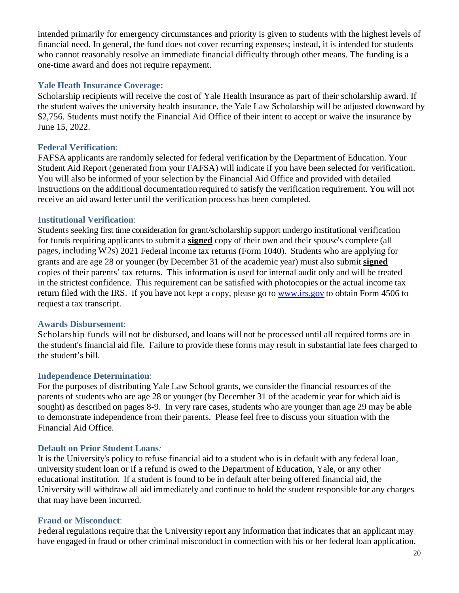intended primarily for emergency circumstances and priority is given to students with the highest levels of financial need. In general, the fund does not cover recurring expenses; instead, it is intended for students who cannot reasonably resolve an immediate financial difficulty through other means. The funding is a one-time award and does not require repayment.

#### **Yale Heath Insurance Coverage:**

Scholarship recipients will receive the cost of Yale Health Insurance as part of their scholarship award. If the student waives the university health insurance, the Yale Law Scholarship will be adjusted downward by \$2,756. Students must notify the Financial Aid Office of their intent to accept or waive the insurance by June 15, 2022.

#### <span id="page-19-0"></span>**Federal Verification**:

FAFSA applicants are randomly selected for federal verification by the Department of Education. Your Student Aid Report (generated from your FAFSA) will indicate if you have been selected for verification. You will also be informed of your selection by the Financial Aid Office and provided with detailed instructions on the additional documentation required to satisfy the verification requirement. You will not receive an aid award letter until the verification process has been completed.

#### <span id="page-19-1"></span>**Institutional Verification**:

Students seeking first time consideration for grant/scholarship support undergo institutional verification for funds requiring applicants to submit a **signed** copy of their own and their spouse's complete (all pages, including W2s) 2021 Federal income tax returns (Form 1040). Students who are applying for grants and are age 28 or younger (by December 31 of the academic year) must also submit **signed** copies of their parents' tax returns. This information is used for internal audit only and will be treated in the strictest confidence. This requirement can be satisfied with photocopies or the actual income tax return filed with the IRS. If you have not kept a copy, please go to [www.irs.gov](http://www.irs.gov/) to obtain Form 4506 to request a tax transcript.

#### <span id="page-19-2"></span>**Awards Disbursement**:

Scholarship funds will not be disbursed, and loans will not be processed until all required forms are in the student's financial aid file. Failure to provide these forms may result in substantial late fees charged to the student's bill.

#### <span id="page-19-3"></span>**Independence Determination**:

For the purposes of distributing Yale Law School grants, we consider the financial resources of the parents of students who are age 28 or younger (by December 31 of the academic year for which aid is sought) as described on pages 8-9. In very rare cases, students who are younger than age 29 may be able to demonstrate independence from their parents. Please feel free to discuss your situation with the Financial Aid Office.

#### <span id="page-19-4"></span>**Default on Prior Student Loans***:*

It is the University's policy to refuse financial aid to a student who is in default with any federal loan, university student loan or if a refund is owed to the Department of Education, Yale, or any other educational institution. If a student is found to be in default after being offered financial aid, the University will withdraw all aid immediately and continue to hold the student responsible for any charges that may have been incurred.

#### <span id="page-19-5"></span>**Fraud or Misconduct**:

Federal regulations require that the University report any information that indicates that an applicant may have engaged in fraud or other criminal misconduct in connection with his or her federal loan application.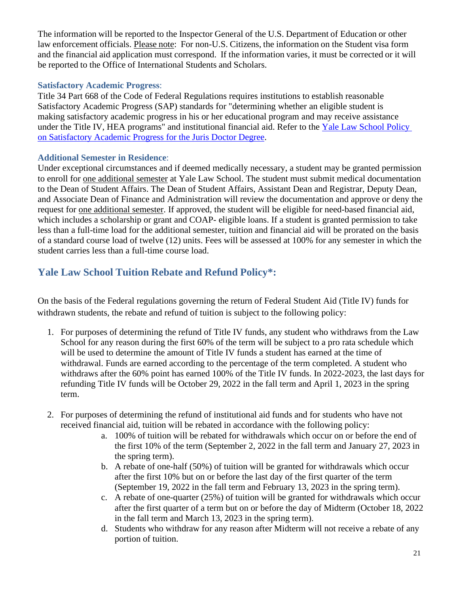The information will be reported to the Inspector General of the U.S. Department of Education or other law enforcement officials. Please note: For non-U.S. Citizens, the information on the Student visa form and the financial aid application must correspond. If the information varies, it must be corrected or it will be reported to the Office of International Students and Scholars.

#### <span id="page-20-0"></span>**Satisfactory Academic Progress**:

Title 34 Part 668 of the Code of Federal Regulations requires institutions to establish reasonable Satisfactory Academic Progress (SAP) standards for "determining whether an eligible student is making satisfactory academic progress in his or her educational program and may receive assistance under the Title IV, HEA programs" and institutional financial aid. Refer to the [Yale Law School Policy](https://law.yale.edu/sites/default/files/documents/pdf/Public_Affairs/SAP_Policy_Final.pdf)  [on Satisfactory Academic Progress for the Juris Doctor Degree.](https://law.yale.edu/sites/default/files/documents/pdf/Public_Affairs/SAP_Policy_Final.pdf)

#### <span id="page-20-1"></span>**Additional Semester in Residence**:

Under exceptional circumstances and if deemed medically necessary, a student may be granted permission to enroll for one additional semester at Yale Law School. The student must submit medical documentation to the Dean of Student Affairs. The Dean of Student Affairs, Assistant Dean and Registrar, Deputy Dean, and Associate Dean of Finance and Administration will review the documentation and approve or deny the request for one additional semester. If approved, the student will be eligible for need-based financial aid, which includes a scholarship or grant and COAP- eligible loans. If a student is granted permission to take less than a full-time load for the additional semester, tuition and financial aid will be prorated on the basis of a standard course load of twelve (12) units. Fees will be assessed at 100% for any semester in which the student carries less than a full-time course load.

# <span id="page-20-2"></span>**Yale Law School Tuition Rebate and Refund Policy\*:**

On the basis of the Federal regulations governing the return of Federal Student Aid (Title IV) funds for withdrawn students, the rebate and refund of tuition is subject to the following policy:

- 1. For purposes of determining the refund of Title IV funds, any student who withdraws from the Law School for any reason during the first 60% of the term will be subject to a pro rata schedule which will be used to determine the amount of Title IV funds a student has earned at the time of withdrawal. Funds are earned according to the percentage of the term completed. A student who withdraws after the 60% point has earned 100% of the Title IV funds. In 2022-2023, the last days for refunding Title IV funds will be October 29, 2022 in the fall term and April 1, 2023 in the spring term.
- 2. For purposes of determining the refund of institutional aid funds and for students who have not received financial aid, tuition will be rebated in accordance with the following policy:
	- a. 100% of tuition will be rebated for withdrawals which occur on or before the end of the first 10% of the term (September 2, 2022 in the fall term and January 27, 2023 in the spring term).
	- b. A rebate of one-half (50%) of tuition will be granted for withdrawals which occur after the first 10% but on or before the last day of the first quarter of the term (September 19, 2022 in the fall term and February 13, 2023 in the spring term).
	- c. A rebate of one-quarter (25%) of tuition will be granted for withdrawals which occur after the first quarter of a term but on or before the day of Midterm (October 18, 2022 in the fall term and March 13, 2023 in the spring term).
	- d. Students who withdraw for any reason after Midterm will not receive a rebate of any portion of tuition.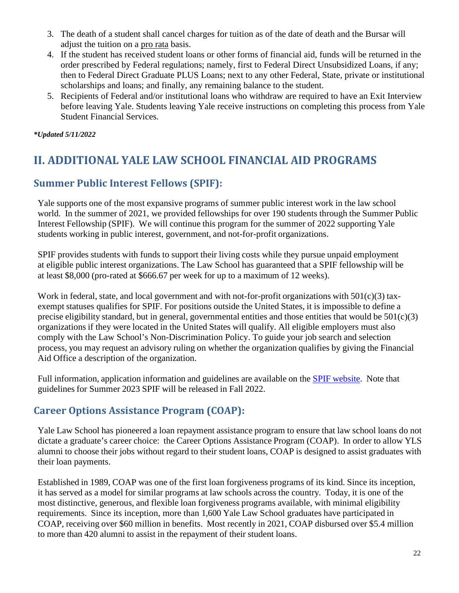- 3. The death of a student shall cancel charges for tuition as of the date of death and the Bursar will adjust the tuition on a pro rata basis.
- 4. If the student has received student loans or other forms of financial aid, funds will be returned in the order prescribed by Federal regulations; namely, first to Federal Direct Unsubsidized Loans, if any; then to Federal Direct Graduate PLUS Loans; next to any other Federal, State, private or institutional scholarships and loans; and finally, any remaining balance to the student.
- 5. Recipients of Federal and/or institutional loans who withdraw are required to have an Exit Interview before leaving Yale. Students leaving Yale receive instructions on completing this process from Yale Student Financial Services.

*\*Updated 5/11/2022*

# <span id="page-21-0"></span>**II. ADDITIONAL YALE LAW SCHOOL FINANCIAL AID PROGRAMS**

## <span id="page-21-1"></span>**[Summer Public Interest Fellows \(SPIF\):](http://www.law.yale.edu/admissions/finaid_summerfellowship.htm)**

Yale supports one of the most expansive programs of summer public interest work in the law school world. In the summer of 2021, we provided fellowships for over 190 students through the Summer Public Interest Fellowship (SPIF). We will continue this program for the summer of 2022 supporting Yale students working in public interest, government, and not-for-profit organizations.

SPIF provides students with funds to support their living costs while they pursue unpaid employment at eligible public interest organizations. The Law School has guaranteed that a SPIF fellowship will be at least \$8,000 (pro-rated at \$666.67 per week for up to a maximum of 12 weeks).

Work in federal, state, and local government and with not-for-profit organizations with 501(c)(3) taxexempt statuses qualifies for SPIF. For positions outside the United States, it is impossible to define a precise eligibility standard, but in general, governmental entities and those entities that would be  $501(c)(3)$ organizations if they were located in the United States will qualify. All eligible employers must also comply with the Law School's Non-Discrimination Policy. To guide your job search and selection process, you may request an advisory ruling on whether the organization qualifies by giving the Financial Aid Office a description of the organization.

Full information, application information and guidelines are available on the SPIF [website.](http://www.law.yale.edu/admissions/finaid_summerfellowship.htm) Note that guidelines for Summer 2023 SPIF will be released in Fall 2022.

# <span id="page-21-2"></span>**[Career Options Assistance Program \(COAP\)](http://www.law.yale.edu/admissions/finaid_COAP.htm):**

Yale Law School has pioneered a loan repayment assistance program to ensure that law school loans do not dictate a graduate's career choice: the Career Options Assistance Program (COAP). In order to allow YLS alumni to choose their jobs without regard to their student loans, COAP is designed to assist graduates with their loan payments.

Established in 1989, COAP was one of the first loan forgiveness programs of its kind. Since its inception, it has served as a model for similar programs at law schools across the country. Today, it is one of the most distinctive, generous, and flexible loan forgiveness programs available, with minimal eligibility requirements. Since its inception, more than 1,600 Yale Law School graduates have participated in COAP, receiving over \$60 million in benefits. Most recently in 2021, COAP disbursed over \$5.4 million to more than 420 alumni to assist in the repayment of their student loans.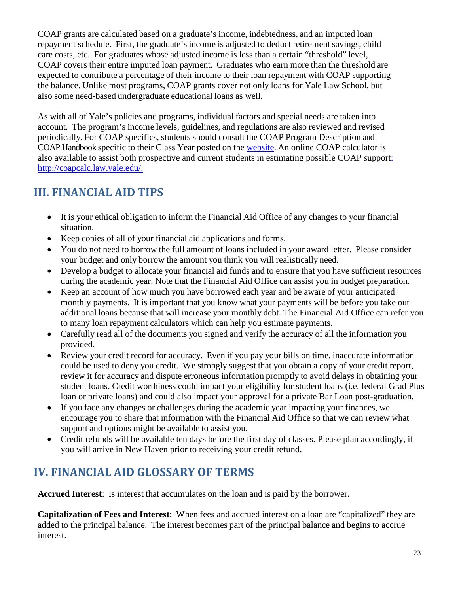COAP grants are calculated based on a graduate's income, indebtedness, and an imputed loan repayment schedule. First, the graduate's income is adjusted to deduct retirement savings, child care costs, etc. For graduates whose adjusted income is less than a certain "threshold" level, COAP covers their entire imputed loan payment. Graduates who earn more than the threshold are expected to contribute a percentage of their income to their loan repayment with COAP supporting the balance. Unlike most programs, COAP grants cover not only loans for Yale Law School, but also some need-based undergraduate educational loans as well.

As with all of Yale's policies and programs, individual factors and special needs are taken into account. The program's income levels, guidelines, and regulations are also reviewed and revised periodically. For COAP specifics, students should consult the COAP Program Description and COAP Handbook specific to their Class Year posted on the [website.](https://law.yale.edu/admissions/cost-financial-aid/post-graduate-loan-repayment/coap-resources-descriptions-class-0) An online [COAP calculator](http://coapcalc.law.yale.edu/) is also available to assist both prospective and current students in estimating possible COAP support: [http://coapcalc.law.yale.edu/.](http://coapcalc.law.yale.edu/)

# <span id="page-22-0"></span>**III. FINANCIAL AID TIPS**

- It is your ethical obligation to inform the Financial Aid Office of any changes to your financial situation.
- Keep copies of all of your financial aid applications and forms.
- You do not need to borrow the full amount of loans included in your award letter. Please consider your budget and only borrow the amount you think you will realistically need.
- Develop a budget to allocate your financial aid funds and to ensure that you have sufficient resources during the academic year. Note that the Financial Aid Office can assist you in budget preparation.
- Keep an account of how much you have borrowed each year and be aware of your anticipated monthly payments. It is important that you know what your payments will be before you take out additional loans because that will increase your monthly debt. The Financial Aid Office can refer you to many loan repayment calculators which can help you estimate payments.
- Carefully read all of the documents you signed and verify the accuracy of all the information you provided.
- Review your credit record for accuracy. Even if you pay your bills on time, inaccurate information could be used to deny you credit. We strongly suggest that you obtain a copy of your credit report, review it for accuracy and dispute erroneous information promptly to avoid delays in obtaining your student loans. Credit worthiness could impact your eligibility for student loans (i.e. federal Grad Plus loan or private loans) and could also impact your approval for a private Bar Loan post-graduation.
- If you face any changes or challenges during the academic year impacting your finances, we encourage you to share that information with the Financial Aid Office so that we can review what support and options might be available to assist you.
- Credit refunds will be available ten days before the first day of classes. Please plan accordingly, if you will arrive in New Haven prior to receiving your credit refund.

# **IV. FINANCIAL AID GLOSSARY OF TERMS**

**Accrued Interest**: Is interest that accumulates on the loan and is paid by the borrower.

**Capitalization of Fees and Interest**: When fees and accrued interest on a loan are "capitalized" they are added to the principal balance. The interest becomes part of the principal balance and begins to accrue interest.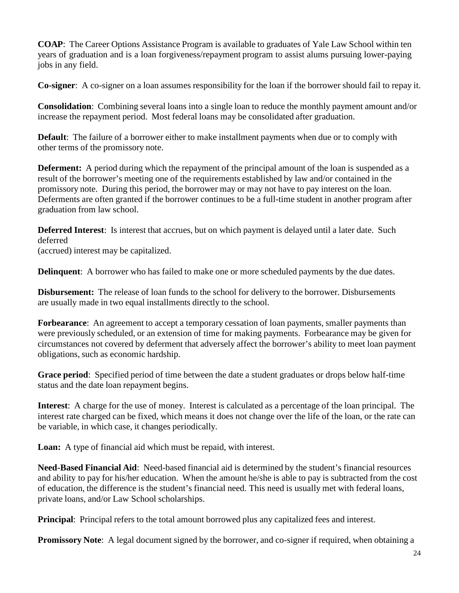**COAP**: The Career Options Assistance Program is available to graduates of Yale Law School within ten years of graduation and is a loan forgiveness/repayment program to assist alums pursuing lower-paying jobs in any field.

**Co-signer**: A co-signer on a loan assumes responsibility for the loan if the borrower should fail to repay it.

**Consolidation**: Combining several loans into a single loan to reduce the monthly payment amount and/or increase the repayment period. Most federal loans may be consolidated after graduation.

**Default**: The failure of a borrower either to make installment payments when due or to comply with other terms of the promissory note.

**Deferment:** A period during which the repayment of the principal amount of the loan is suspended as a result of the borrower's meeting one of the requirements established by law and/or contained in the promissory note. During this period, the borrower may or may not have to pay interest on the loan. Deferments are often granted if the borrower continues to be a full-time student in another program after graduation from law school.

**Deferred Interest**: Is interest that accrues, but on which payment is delayed until a later date. Such deferred

(accrued) interest may be capitalized.

**Delinquent**: A borrower who has failed to make one or more scheduled payments by the due dates.

**Disbursement:** The release of loan funds to the school for delivery to the borrower. Disbursements are usually made in two equal installments directly to the school.

**Forbearance**: An agreement to accept a temporary cessation of loan payments, smaller payments than were previously scheduled, or an extension of time for making payments. Forbearance may be given for circumstances not covered by deferment that adversely affect the borrower's ability to meet loan payment obligations, such as economic hardship.

**Grace period**: Specified period of time between the date a student graduates or drops below half-time status and the date loan repayment begins.

**Interest**: A charge for the use of money. Interest is calculated as a percentage of the loan principal. The interest rate charged can be fixed, which means it does not change over the life of the loan, or the rate can be variable, in which case, it changes periodically.

**Loan:** A type of financial aid which must be repaid, with interest.

**Need-Based Financial Aid**: Need-based financial aid is determined by the student's financial resources and ability to pay for his/her education. When the amount he/she is able to pay is subtracted from the cost of education, the difference is the student's financial need. This need is usually met with federal loans, private loans, and/or Law School scholarships.

**Principal:** Principal refers to the total amount borrowed plus any capitalized fees and interest.

**Promissory Note:** A legal document signed by the borrower, and co-signer if required, when obtaining a